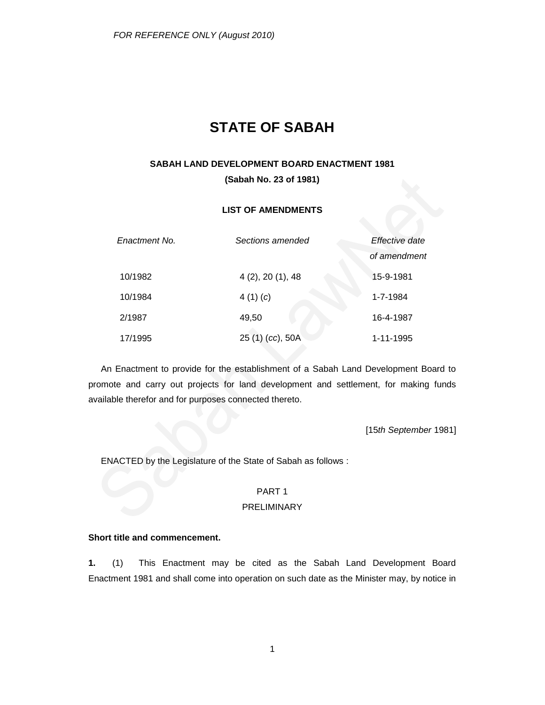# **STATE OF SABAH**

# **SABAH LAND DEVELOPMENT BOARD ENACTMENT 1981**

**(Sabah No. 23 of 1981)**

# **LIST OF AMENDMENTS**

| Enactment No. | Sections amended | Effective date<br>of amendment |
|---------------|------------------|--------------------------------|
| 10/1982       | 4(2), 20(1), 48  | 15-9-1981                      |
| 10/1984       | 4 $(1)(c)$       | 1-7-1984                       |
| 2/1987        | 49,50            | 16-4-1987                      |
| 17/1995       | 25 (1) (cc), 50A | 1-11-1995                      |

An Enactment to provide for the establishment of a Sabah Land Development Board to promote and carry out projects for land development and settlement, for making funds available therefor and for purposes connected thereto.

[15*th September* 1981]

ENACTED by the Legislature of the State of Sabah as follows :

# PART 1

# PRELIMINARY

# **Short title and commencement.**

**1.** (1) This Enactment may be cited as the Sabah Land Development Board Enactment 1981 and shall come into operation on such date as the Minister may, by notice in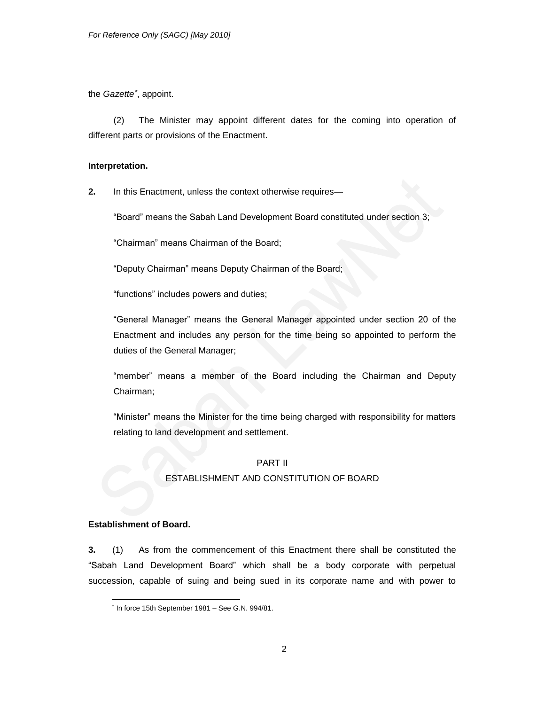the *Gazette* , appoint.

(2) The Minister may appoint different dates for the coming into operation of different parts or provisions of the Enactment.

# **Interpretation.**

**2.** In this Enactment, unless the context otherwise requires—

"Board" means the Sabah Land Development Board constituted under section 3;

―Chairman‖ means Chairman of the Board;

"Deputy Chairman" means Deputy Chairman of the Board;

"functions" includes powers and duties;

―General Manager‖ means the General Manager appointed under section 20 of the Enactment and includes any person for the time being so appointed to perform the duties of the General Manager;

"member" means a member of the Board including the Chairman and Deputy Chairman;

"Minister" means the Minister for the time being charged with responsibility for matters relating to land development and settlement.

# PART II

# ESTABLISHMENT AND CONSTITUTION OF BOARD

# **Establishment of Board.**

**3.** (1) As from the commencement of this Enactment there shall be constituted the ―Sabah Land Development Board‖ which shall be a body corporate with perpetual succession, capable of suing and being sued in its corporate name and with power to

l  $*$  In force 15th September 1981 - See G.N. 994/81.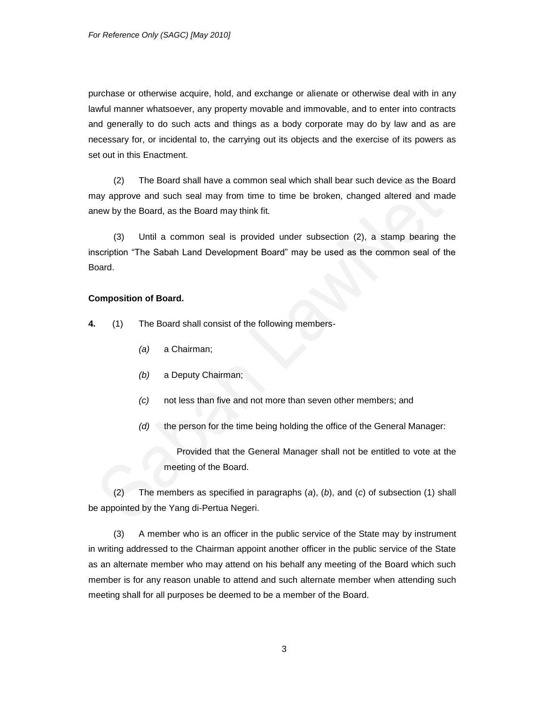purchase or otherwise acquire, hold, and exchange or alienate or otherwise deal with in any lawful manner whatsoever, any property movable and immovable, and to enter into contracts and generally to do such acts and things as a body corporate may do by law and as are necessary for, or incidental to, the carrying out its objects and the exercise of its powers as set out in this Enactment.

(2) The Board shall have a common seal which shall bear such device as the Board may approve and such seal may from time to time be broken, changed altered and made anew by the Board, as the Board may think fit.

(3) Until a common seal is provided under subsection (2), a stamp bearing the inscription "The Sabah Land Development Board" may be used as the common seal of the Board.

# **Composition of Board.**

**4.** (1) The Board shall consist of the following members-

- *(a)* a Chairman;
- *(b)* a Deputy Chairman;
- *(c)* not less than five and not more than seven other members; and
- *(d)* the person for the time being holding the office of the General Manager:

Provided that the General Manager shall not be entitled to vote at the meeting of the Board.

(2) The members as specified in paragraphs (*a*), (*b*), and (*c*) of subsection (1) shall be appointed by the Yang di-Pertua Negeri.

(3) A member who is an officer in the public service of the State may by instrument in writing addressed to the Chairman appoint another officer in the public service of the State as an alternate member who may attend on his behalf any meeting of the Board which such member is for any reason unable to attend and such alternate member when attending such meeting shall for all purposes be deemed to be a member of the Board.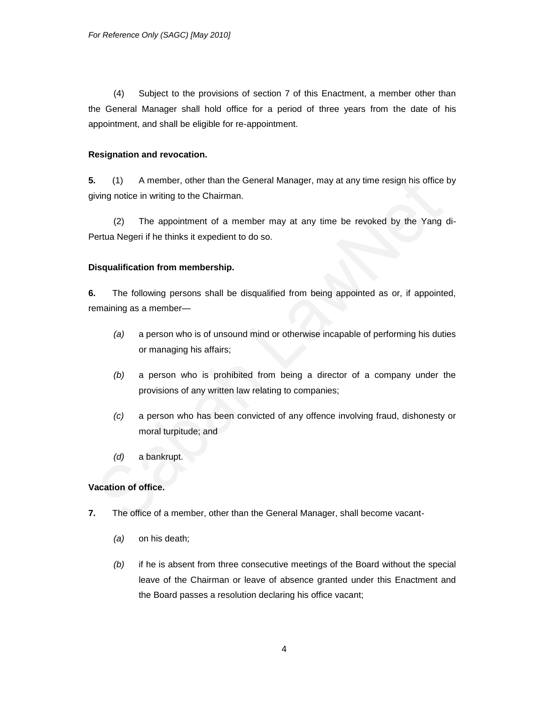(4) Subject to the provisions of section 7 of this Enactment, a member other than the General Manager shall hold office for a period of three years from the date of his appointment, and shall be eligible for re-appointment.

# **Resignation and revocation.**

**5.** (1) A member, other than the General Manager, may at any time resign his office by giving notice in writing to the Chairman.

(2) The appointment of a member may at any time be revoked by the Yang di-Pertua Negeri if he thinks it expedient to do so.

# **Disqualification from membership.**

**6.** The following persons shall be disqualified from being appointed as or, if appointed, remaining as a member—

- *(a)* a person who is of unsound mind or otherwise incapable of performing his duties or managing his affairs;
- *(b)* a person who is prohibited from being a director of a company under the provisions of any written law relating to companies;
- *(c)* a person who has been convicted of any offence involving fraud, dishonesty or moral turpitude; and
- *(d)* a bankrupt.

# **Vacation of office.**

- **7.** The office of a member, other than the General Manager, shall become vacant-
	- *(a)* on his death;
	- *(b)* if he is absent from three consecutive meetings of the Board without the special leave of the Chairman or leave of absence granted under this Enactment and the Board passes a resolution declaring his office vacant;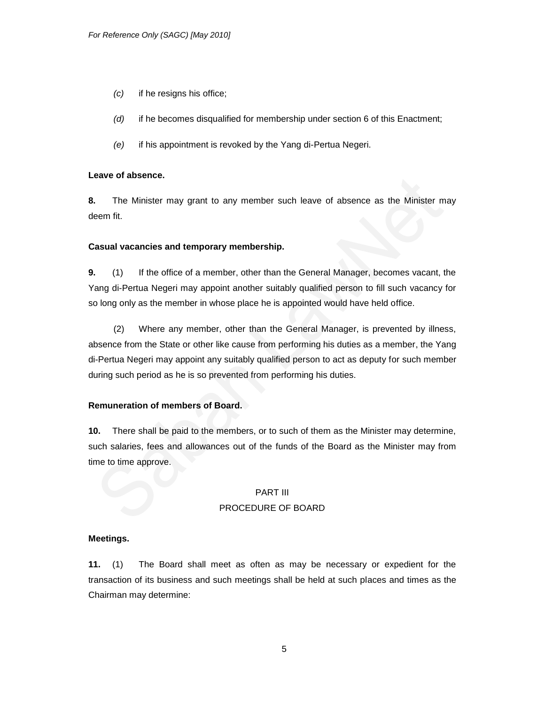- *(c)* if he resigns his office;
- *(d)* if he becomes disqualified for membership under section 6 of this Enactment;
- *(e)* if his appointment is revoked by the Yang di-Pertua Negeri.

# **Leave of absence.**

**8.** The Minister may grant to any member such leave of absence as the Minister may deem fit.

### **Casual vacancies and temporary membership.**

**9.** (1) If the office of a member, other than the General Manager, becomes vacant, the Yang di-Pertua Negeri may appoint another suitably qualified person to fill such vacancy for so long only as the member in whose place he is appointed would have held office.

(2) Where any member, other than the General Manager, is prevented by illness, absence from the State or other like cause from performing his duties as a member, the Yang di-Pertua Negeri may appoint any suitably qualified person to act as deputy for such member during such period as he is so prevented from performing his duties.

# **Remuneration of members of Board.**

**10.** There shall be paid to the members, or to such of them as the Minister may determine, such salaries, fees and allowances out of the funds of the Board as the Minister may from time to time approve.

# PART III PROCEDURE OF BOARD

# **Meetings.**

**11.** (1) The Board shall meet as often as may be necessary or expedient for the transaction of its business and such meetings shall be held at such places and times as the Chairman may determine: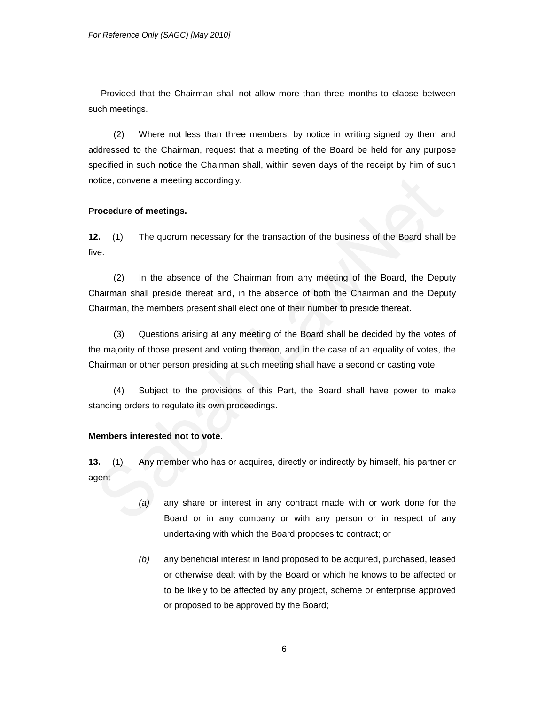Provided that the Chairman shall not allow more than three months to elapse between such meetings.

(2) Where not less than three members, by notice in writing signed by them and addressed to the Chairman, request that a meeting of the Board be held for any purpose specified in such notice the Chairman shall, within seven days of the receipt by him of such notice, convene a meeting accordingly.

#### **Procedure of meetings.**

**12.** (1) The quorum necessary for the transaction of the business of the Board shall be five.

(2) In the absence of the Chairman from any meeting of the Board, the Deputy Chairman shall preside thereat and, in the absence of both the Chairman and the Deputy Chairman, the members present shall elect one of their number to preside thereat.

(3) Questions arising at any meeting of the Board shall be decided by the votes of the majority of those present and voting thereon, and in the case of an equality of votes, the Chairman or other person presiding at such meeting shall have a second or casting vote.

(4) Subject to the provisions of this Part, the Board shall have power to make standing orders to regulate its own proceedings.

#### **Members interested not to vote.**

**13.** (1) Any member who has or acquires, directly or indirectly by himself, his partner or agent—

- *(a)* any share or interest in any contract made with or work done for the Board or in any company or with any person or in respect of any undertaking with which the Board proposes to contract; or
- *(b)* any beneficial interest in land proposed to be acquired, purchased, leased or otherwise dealt with by the Board or which he knows to be affected or to be likely to be affected by any project, scheme or enterprise approved or proposed to be approved by the Board;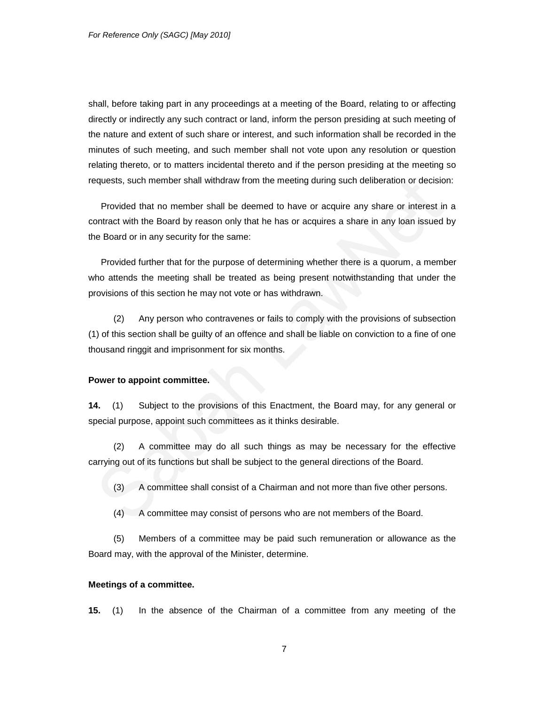shall, before taking part in any proceedings at a meeting of the Board, relating to or affecting directly or indirectly any such contract or land, inform the person presiding at such meeting of the nature and extent of such share or interest, and such information shall be recorded in the minutes of such meeting, and such member shall not vote upon any resolution or question relating thereto, or to matters incidental thereto and if the person presiding at the meeting so requests, such member shall withdraw from the meeting during such deliberation or decision:

Provided that no member shall be deemed to have or acquire any share or interest in a contract with the Board by reason only that he has or acquires a share in any loan issued by the Board or in any security for the same:

Provided further that for the purpose of determining whether there is a quorum, a member who attends the meeting shall be treated as being present notwithstanding that under the provisions of this section he may not vote or has withdrawn.

(2) Any person who contravenes or fails to comply with the provisions of subsection (1) of this section shall be guilty of an offence and shall be liable on conviction to a fine of one thousand ringgit and imprisonment for six months.

#### **Power to appoint committee.**

**14.** (1) Subject to the provisions of this Enactment, the Board may, for any general or special purpose, appoint such committees as it thinks desirable.

(2) A committee may do all such things as may be necessary for the effective carrying out of its functions but shall be subject to the general directions of the Board.

(3) A committee shall consist of a Chairman and not more than five other persons.

(4) A committee may consist of persons who are not members of the Board.

(5) Members of a committee may be paid such remuneration or allowance as the Board may, with the approval of the Minister, determine.

#### **Meetings of a committee.**

**15.** (1) In the absence of the Chairman of a committee from any meeting of the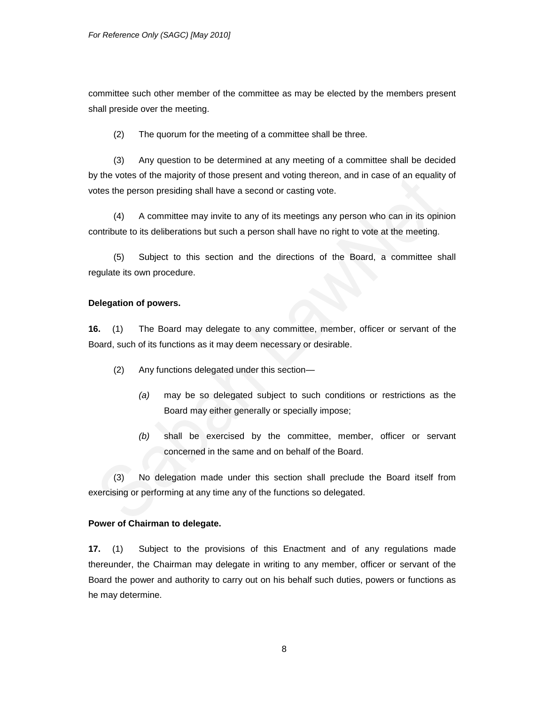committee such other member of the committee as may be elected by the members present shall preside over the meeting.

(2) The quorum for the meeting of a committee shall be three.

(3) Any question to be determined at any meeting of a committee shall be decided by the votes of the majority of those present and voting thereon, and in case of an equality of votes the person presiding shall have a second or casting vote.

(4) A committee may invite to any of its meetings any person who can in its opinion contribute to its deliberations but such a person shall have no right to vote at the meeting.

(5) Subject to this section and the directions of the Board, a committee shall regulate its own procedure.

# **Delegation of powers.**

**16.** (1) The Board may delegate to any committee, member, officer or servant of the Board, such of its functions as it may deem necessary or desirable.

- (2) Any functions delegated under this section—
	- *(a)* may be so delegated subject to such conditions or restrictions as the Board may either generally or specially impose;
	- *(b)* shall be exercised by the committee, member, officer or servant concerned in the same and on behalf of the Board.

(3) No delegation made under this section shall preclude the Board itself from exercising or performing at any time any of the functions so delegated.

### **Power of Chairman to delegate.**

**17.** (1) Subject to the provisions of this Enactment and of any regulations made thereunder, the Chairman may delegate in writing to any member, officer or servant of the Board the power and authority to carry out on his behalf such duties, powers or functions as he may determine.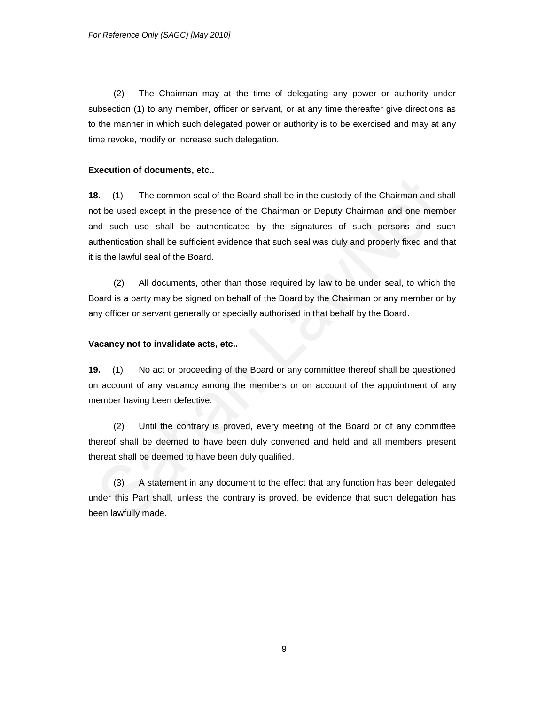(2) The Chairman may at the time of delegating any power or authority under subsection (1) to any member, officer or servant, or at any time thereafter give directions as to the manner in which such delegated power or authority is to be exercised and may at any time revoke, modify or increase such delegation.

# **Execution of documents, etc..**

**18.** (1) The common seal of the Board shall be in the custody of the Chairman and shall not be used except in the presence of the Chairman or Deputy Chairman and one member and such use shall be authenticated by the signatures of such persons and such authentication shall be sufficient evidence that such seal was duly and properly fixed and that it is the lawful seal of the Board.

(2) All documents, other than those required by law to be under seal, to which the Board is a party may be signed on behalf of the Board by the Chairman or any member or by any officer or servant generally or specially authorised in that behalf by the Board.

# **Vacancy not to invalidate acts, etc..**

**19.** (1) No act or proceeding of the Board or any committee thereof shall be questioned on account of any vacancy among the members or on account of the appointment of any member having been defective.

(2) Until the contrary is proved, every meeting of the Board or of any committee thereof shall be deemed to have been duly convened and held and all members present thereat shall be deemed to have been duly qualified.

(3) A statement in any document to the effect that any function has been delegated under this Part shall, unless the contrary is proved, be evidence that such delegation has been lawfully made.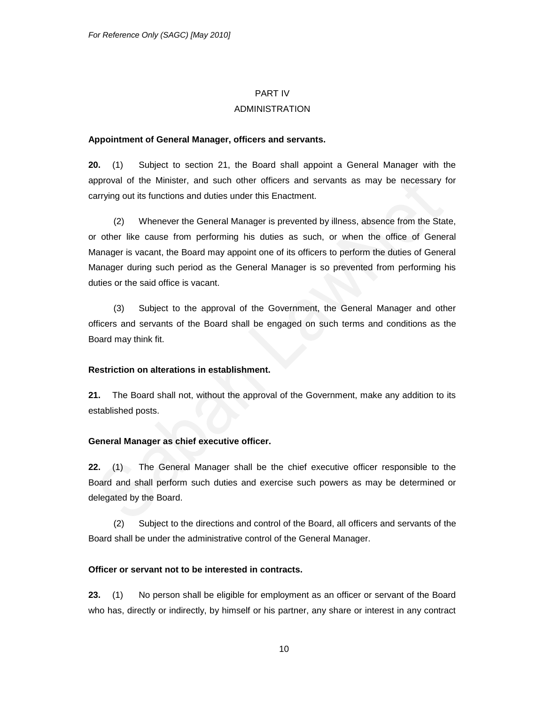#### PART IV

# ADMINISTRATION

#### **Appointment of General Manager, officers and servants.**

**20.** (1) Subject to section 21, the Board shall appoint a General Manager with the approval of the Minister, and such other officers and servants as may be necessary for carrying out its functions and duties under this Enactment.

(2) Whenever the General Manager is prevented by illness, absence from the State, or other like cause from performing his duties as such, or when the office of General Manager is vacant, the Board may appoint one of its officers to perform the duties of General Manager during such period as the General Manager is so prevented from performing his duties or the said office is vacant.

(3) Subject to the approval of the Government, the General Manager and other officers and servants of the Board shall be engaged on such terms and conditions as the Board may think fit.

#### **Restriction on alterations in establishment.**

**21.** The Board shall not, without the approval of the Government, make any addition to its established posts.

# **General Manager as chief executive officer.**

**22.** (1) The General Manager shall be the chief executive officer responsible to the Board and shall perform such duties and exercise such powers as may be determined or delegated by the Board.

(2) Subject to the directions and control of the Board, all officers and servants of the Board shall be under the administrative control of the General Manager.

#### **Officer or servant not to be interested in contracts.**

**23.** (1) No person shall be eligible for employment as an officer or servant of the Board who has, directly or indirectly, by himself or his partner, any share or interest in any contract

10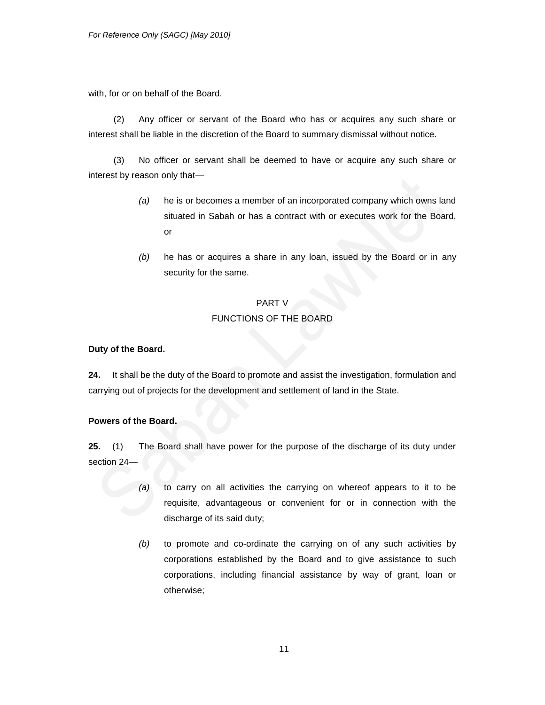with, for or on behalf of the Board.

(2) Any officer or servant of the Board who has or acquires any such share or interest shall be liable in the discretion of the Board to summary dismissal without notice.

(3) No officer or servant shall be deemed to have or acquire any such share or interest by reason only that—

- *(a)* he is or becomes a member of an incorporated company which owns land situated in Sabah or has a contract with or executes work for the Board, or
- *(b)* he has or acquires a share in any loan, issued by the Board or in any security for the same.

# PART V FUNCTIONS OF THE BOARD

# **Duty of the Board.**

**24.** It shall be the duty of the Board to promote and assist the investigation, formulation and carrying out of projects for the development and settlement of land in the State.

# **Powers of the Board.**

**25.** (1) The Board shall have power for the purpose of the discharge of its duty under section 24—

- *(a)* to carry on all activities the carrying on whereof appears to it to be requisite, advantageous or convenient for or in connection with the discharge of its said duty;
- *(b)* to promote and co-ordinate the carrying on of any such activities by corporations established by the Board and to give assistance to such corporations, including financial assistance by way of grant, loan or otherwise;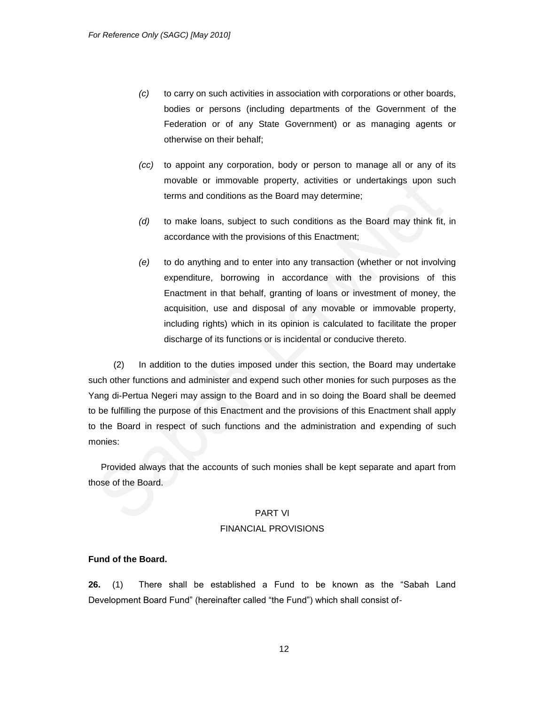- *(c)* to carry on such activities in association with corporations or other boards, bodies or persons (including departments of the Government of the Federation or of any State Government) or as managing agents or otherwise on their behalf;
- *(cc)* to appoint any corporation, body or person to manage all or any of its movable or immovable property, activities or undertakings upon such terms and conditions as the Board may determine;
- *(d)* to make loans, subject to such conditions as the Board may think fit, in accordance with the provisions of this Enactment;
- *(e)* to do anything and to enter into any transaction (whether or not involving expenditure, borrowing in accordance with the provisions of this Enactment in that behalf, granting of loans or investment of money, the acquisition, use and disposal of any movable or immovable property, including rights) which in its opinion is calculated to facilitate the proper discharge of its functions or is incidental or conducive thereto.

(2) In addition to the duties imposed under this section, the Board may undertake such other functions and administer and expend such other monies for such purposes as the Yang di-Pertua Negeri may assign to the Board and in so doing the Board shall be deemed to be fulfilling the purpose of this Enactment and the provisions of this Enactment shall apply to the Board in respect of such functions and the administration and expending of such monies:

Provided always that the accounts of such monies shall be kept separate and apart from those of the Board.

#### PART VI

## FINANCIAL PROVISIONS

### **Fund of the Board.**

**26.** (1) There shall be established a Fund to be known as the "Sabah Land Development Board Fund" (hereinafter called "the Fund") which shall consist of-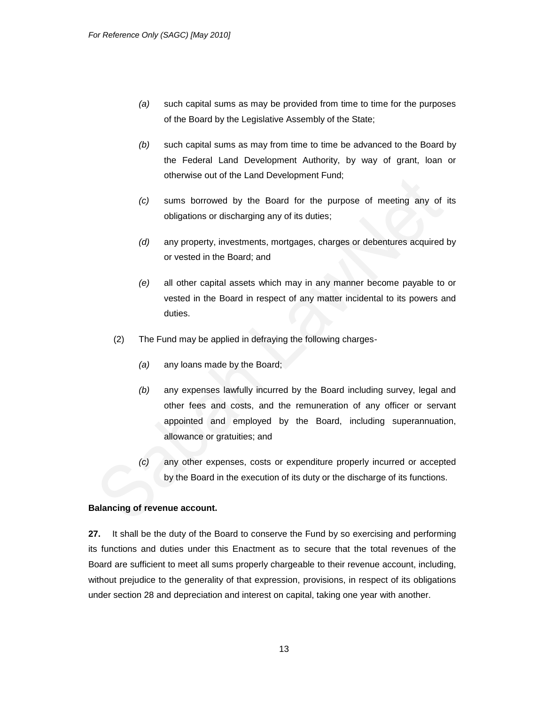- *(a)* such capital sums as may be provided from time to time for the purposes of the Board by the Legislative Assembly of the State;
- *(b)* such capital sums as may from time to time be advanced to the Board by the Federal Land Development Authority, by way of grant, loan or otherwise out of the Land Development Fund;
- *(c)* sums borrowed by the Board for the purpose of meeting any of its obligations or discharging any of its duties;
- *(d)* any property, investments, mortgages, charges or debentures acquired by or vested in the Board; and
- *(e)* all other capital assets which may in any manner become payable to or vested in the Board in respect of any matter incidental to its powers and duties.
- (2) The Fund may be applied in defraying the following charges-
	- *(a)* any loans made by the Board;
	- *(b)* any expenses lawfully incurred by the Board including survey, legal and other fees and costs, and the remuneration of any officer or servant appointed and employed by the Board, including superannuation, allowance or gratuities; and
	- *(c)* any other expenses, costs or expenditure properly incurred or accepted by the Board in the execution of its duty or the discharge of its functions.

# **Balancing of revenue account.**

**27.** It shall be the duty of the Board to conserve the Fund by so exercising and performing its functions and duties under this Enactment as to secure that the total revenues of the Board are sufficient to meet all sums properly chargeable to their revenue account, including, without prejudice to the generality of that expression, provisions, in respect of its obligations under section 28 and depreciation and interest on capital, taking one year with another.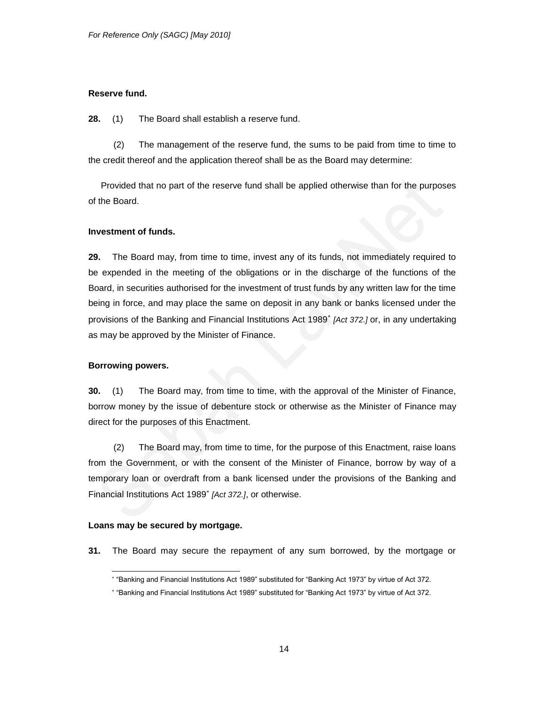# **Reserve fund.**

**28.** (1) The Board shall establish a reserve fund.

(2) The management of the reserve fund, the sums to be paid from time to time to the credit thereof and the application thereof shall be as the Board may determine:

Provided that no part of the reserve fund shall be applied otherwise than for the purposes of the Board.

# **Investment of funds.**

**29.** The Board may, from time to time, invest any of its funds, not immediately required to be expended in the meeting of the obligations or in the discharge of the functions of the Board, in securities authorised for the investment of trust funds by any written law for the time being in force, and may place the same on deposit in any bank or banks licensed under the provisions of the Banking and Financial Institutions Act 1989 *[Act 372.]* or, in any undertaking as may be approved by the Minister of Finance.

# **Borrowing powers.**

**30.** (1) The Board may, from time to time, with the approval of the Minister of Finance, borrow money by the issue of debenture stock or otherwise as the Minister of Finance may direct for the purposes of this Enactment.

(2) The Board may, from time to time, for the purpose of this Enactment, raise loans from the Government, or with the consent of the Minister of Finance, borrow by way of a temporary loan or overdraft from a bank licensed under the provisions of the Banking and Financial Institutions Act 1989 *[Act 372.]*, or otherwise.

# **Loans may be secured by mortgage.**

**31.** The Board may secure the repayment of any sum borrowed, by the mortgage or

l ―Banking and Financial Institutions Act 1989‖ substituted for ―Banking Act 1973‖ by virtue of Act 372.

―Banking and Financial Institutions Act 1989‖ substituted for ―Banking Act 1973‖ by virtue of Act 372.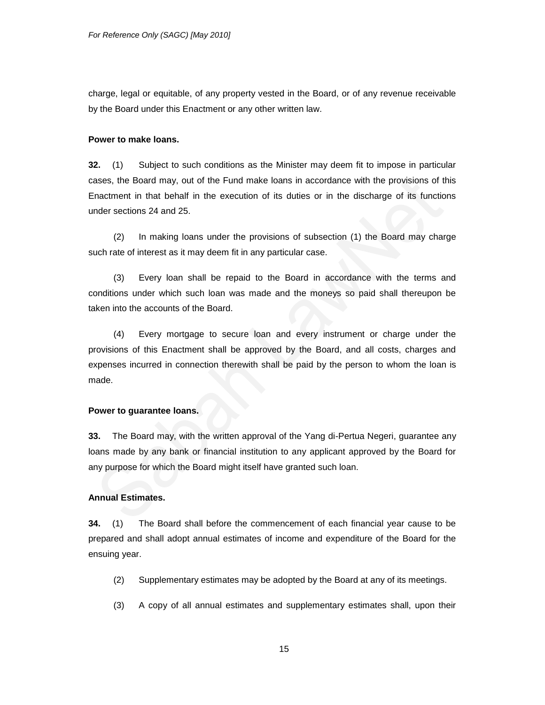charge, legal or equitable, of any property vested in the Board, or of any revenue receivable by the Board under this Enactment or any other written law.

#### **Power to make loans.**

**32.** (1) Subject to such conditions as the Minister may deem fit to impose in particular cases, the Board may, out of the Fund make loans in accordance with the provisions of this Enactment in that behalf in the execution of its duties or in the discharge of its functions under sections 24 and 25.

(2) In making loans under the provisions of subsection (1) the Board may charge such rate of interest as it may deem fit in any particular case.

(3) Every loan shall be repaid to the Board in accordance with the terms and conditions under which such loan was made and the moneys so paid shall thereupon be taken into the accounts of the Board.

(4) Every mortgage to secure loan and every instrument or charge under the provisions of this Enactment shall be approved by the Board, and all costs, charges and expenses incurred in connection therewith shall be paid by the person to whom the loan is made.

# **Power to guarantee loans.**

**33.** The Board may, with the written approval of the Yang di-Pertua Negeri, guarantee any loans made by any bank or financial institution to any applicant approved by the Board for any purpose for which the Board might itself have granted such loan.

#### **Annual Estimates.**

**34.** (1) The Board shall before the commencement of each financial year cause to be prepared and shall adopt annual estimates of income and expenditure of the Board for the ensuing year.

- (2) Supplementary estimates may be adopted by the Board at any of its meetings.
- (3) A copy of all annual estimates and supplementary estimates shall, upon their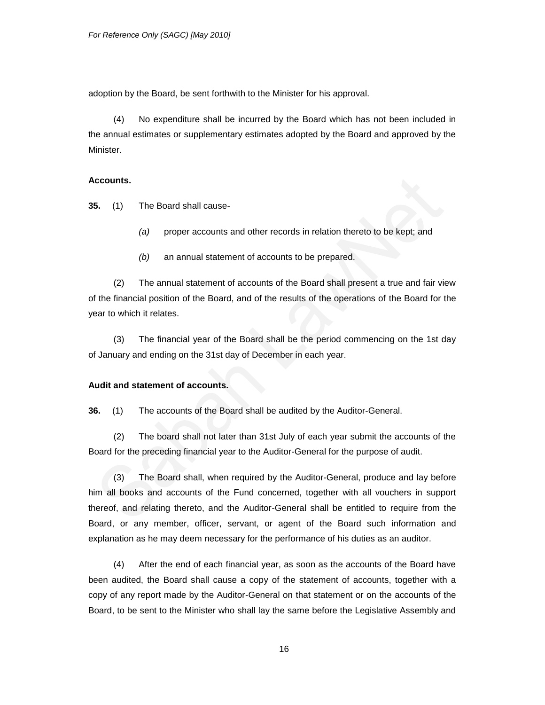adoption by the Board, be sent forthwith to the Minister for his approval.

(4) No expenditure shall be incurred by the Board which has not been included in the annual estimates or supplementary estimates adopted by the Board and approved by the Minister.

#### **Accounts.**

**35.** (1) The Board shall cause-

- *(a)* proper accounts and other records in relation thereto to be kept; and
- *(b)* an annual statement of accounts to be prepared.

(2) The annual statement of accounts of the Board shall present a true and fair view of the financial position of the Board, and of the results of the operations of the Board for the year to which it relates.

(3) The financial year of the Board shall be the period commencing on the 1st day of January and ending on the 31st day of December in each year.

#### **Audit and statement of accounts.**

**36.** (1) The accounts of the Board shall be audited by the Auditor-General.

(2) The board shall not later than 31st July of each year submit the accounts of the Board for the preceding financial year to the Auditor-General for the purpose of audit.

(3) The Board shall, when required by the Auditor-General, produce and lay before him all books and accounts of the Fund concerned, together with all vouchers in support thereof, and relating thereto, and the Auditor-General shall be entitled to require from the Board, or any member, officer, servant, or agent of the Board such information and explanation as he may deem necessary for the performance of his duties as an auditor.

(4) After the end of each financial year, as soon as the accounts of the Board have been audited, the Board shall cause a copy of the statement of accounts, together with a copy of any report made by the Auditor-General on that statement or on the accounts of the Board, to be sent to the Minister who shall lay the same before the Legislative Assembly and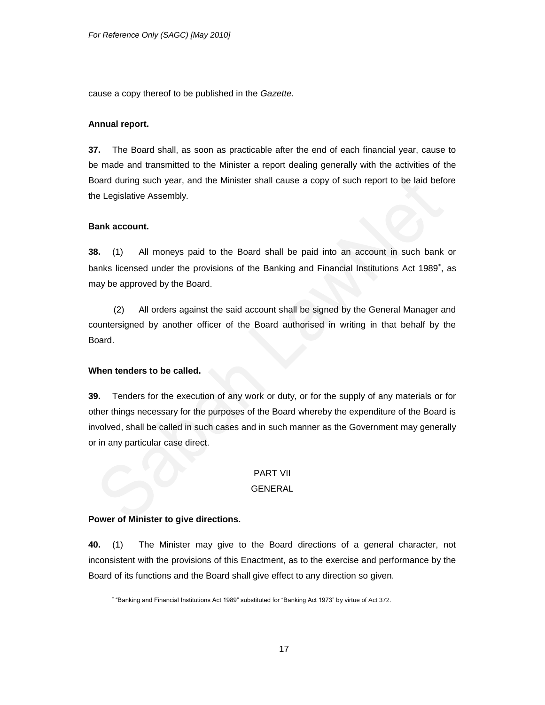cause a copy thereof to be published in the *Gazette.*

## **Annual report.**

**37.** The Board shall, as soon as practicable after the end of each financial year, cause to be made and transmitted to the Minister a report dealing generally with the activities of the Board during such year, and the Minister shall cause a copy of such report to be laid before the Legislative Assembly.

#### **Bank account.**

**38.** (1) All moneys paid to the Board shall be paid into an account in such bank or banks licensed under the provisions of the Banking and Financial Institutions Act 1989<sup>\*</sup>, as may be approved by the Board.

(2) All orders against the said account shall be signed by the General Manager and countersigned by another officer of the Board authorised in writing in that behalf by the Board.

### **When tenders to be called.**

**39.** Tenders for the execution of any work or duty, or for the supply of any materials or for other things necessary for the purposes of the Board whereby the expenditure of the Board is involved, shall be called in such cases and in such manner as the Government may generally or in any particular case direct.

# PART VII

#### GENERAL

#### **Power of Minister to give directions.**

**40.** (1) The Minister may give to the Board directions of a general character, not inconsistent with the provisions of this Enactment, as to the exercise and performance by the Board of its functions and the Board shall give effect to any direction so given.

 $\overline{a}$ ―Banking and Financial Institutions Act 1989‖ substituted for ―Banking Act 1973‖ by virtue of Act 372.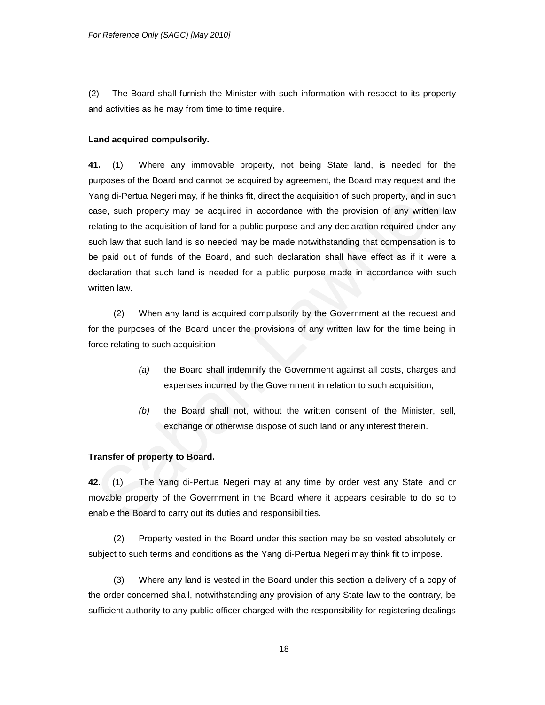(2) The Board shall furnish the Minister with such information with respect to its property and activities as he may from time to time require.

#### **Land acquired compulsorily.**

**41.** (1) Where any immovable property, not being State land, is needed for the purposes of the Board and cannot be acquired by agreement, the Board may request and the Yang di-Pertua Negeri may, if he thinks fit, direct the acquisition of such property, and in such case, such property may be acquired in accordance with the provision of any written law relating to the acquisition of land for a public purpose and any declaration required under any such law that such land is so needed may be made notwithstanding that compensation is to be paid out of funds of the Board, and such declaration shall have effect as if it were a declaration that such land is needed for a public purpose made in accordance with such written law.

(2) When any land is acquired compulsorily by the Government at the request and for the purposes of the Board under the provisions of any written law for the time being in force relating to such acquisition—

- *(a)* the Board shall indemnify the Government against all costs, charges and expenses incurred by the Government in relation to such acquisition;
- *(b)* the Board shall not, without the written consent of the Minister, sell, exchange or otherwise dispose of such land or any interest therein.

# **Transfer of property to Board.**

**42.** (1) The Yang di-Pertua Negeri may at any time by order vest any State land or movable property of the Government in the Board where it appears desirable to do so to enable the Board to carry out its duties and responsibilities.

(2) Property vested in the Board under this section may be so vested absolutely or subject to such terms and conditions as the Yang di-Pertua Negeri may think fit to impose.

(3) Where any land is vested in the Board under this section a delivery of a copy of the order concerned shall, notwithstanding any provision of any State law to the contrary, be sufficient authority to any public officer charged with the responsibility for registering dealings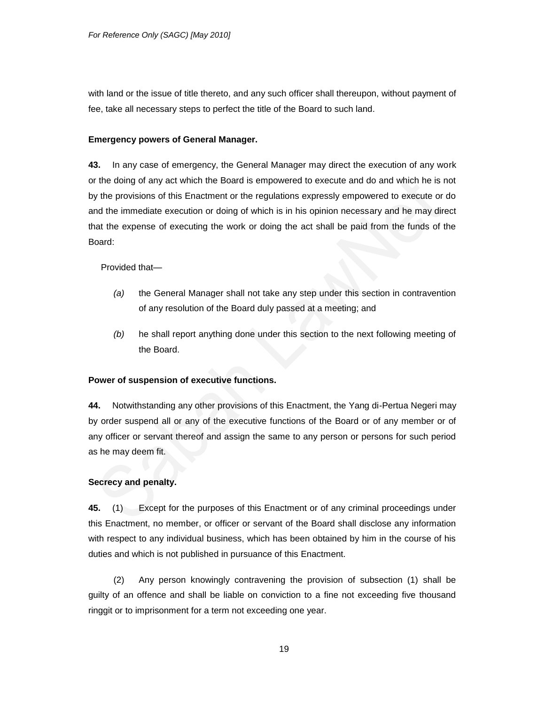with land or the issue of title thereto, and any such officer shall thereupon, without payment of fee, take all necessary steps to perfect the title of the Board to such land.

# **Emergency powers of General Manager.**

**43.** In any case of emergency, the General Manager may direct the execution of any work or the doing of any act which the Board is empowered to execute and do and which he is not by the provisions of this Enactment or the regulations expressly empowered to execute or do and the immediate execution or doing of which is in his opinion necessary and he may direct that the expense of executing the work or doing the act shall be paid from the funds of the Board:

Provided that—

- *(a)* the General Manager shall not take any step under this section in contravention of any resolution of the Board duly passed at a meeting; and
- *(b)* he shall report anything done under this section to the next following meeting of the Board.

# **Power of suspension of executive functions.**

**44.** Notwithstanding any other provisions of this Enactment, the Yang di-Pertua Negeri may by order suspend all or any of the executive functions of the Board or of any member or of any officer or servant thereof and assign the same to any person or persons for such period as he may deem fit.

# **Secrecy and penalty.**

**45.** (1) Except for the purposes of this Enactment or of any criminal proceedings under this Enactment, no member, or officer or servant of the Board shall disclose any information with respect to any individual business, which has been obtained by him in the course of his duties and which is not published in pursuance of this Enactment.

(2) Any person knowingly contravening the provision of subsection (1) shall be guilty of an offence and shall be liable on conviction to a fine not exceeding five thousand ringgit or to imprisonment for a term not exceeding one year.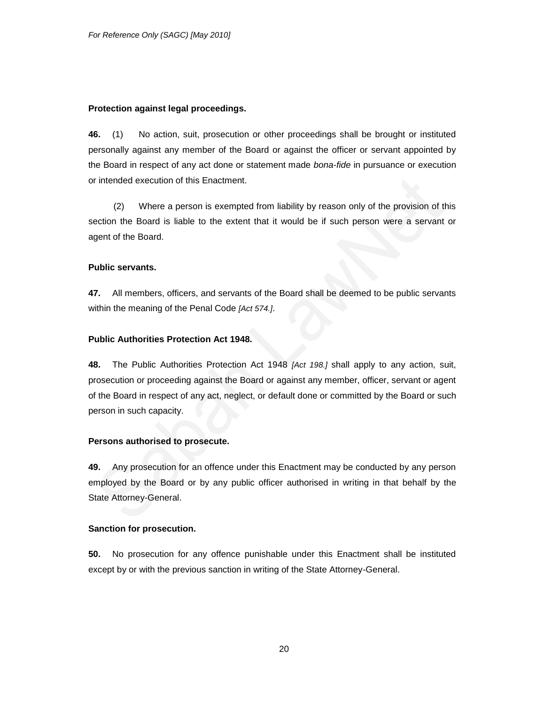### **Protection against legal proceedings.**

**46.** (1) No action, suit, prosecution or other proceedings shall be brought or instituted personally against any member of the Board or against the officer or servant appointed by the Board in respect of any act done or statement made *bona-fide* in pursuance or execution or intended execution of this Enactment.

(2) Where a person is exempted from liability by reason only of the provision of this section the Board is liable to the extent that it would be if such person were a servant or agent of the Board.

### **Public servants.**

**47.** All members, officers, and servants of the Board shall be deemed to be public servants within the meaning of the Penal Code *[Act 574.]*.

# **Public Authorities Protection Act 1948.**

**48.** The Public Authorities Protection Act 1948 *[Act 198.]* shall apply to any action, suit, prosecution or proceeding against the Board or against any member, officer, servant or agent of the Board in respect of any act, neglect, or default done or committed by the Board or such person in such capacity.

# **Persons authorised to prosecute.**

**49.** Any prosecution for an offence under this Enactment may be conducted by any person employed by the Board or by any public officer authorised in writing in that behalf by the State Attorney-General.

## **Sanction for prosecution.**

**50.** No prosecution for any offence punishable under this Enactment shall be instituted except by or with the previous sanction in writing of the State Attorney-General.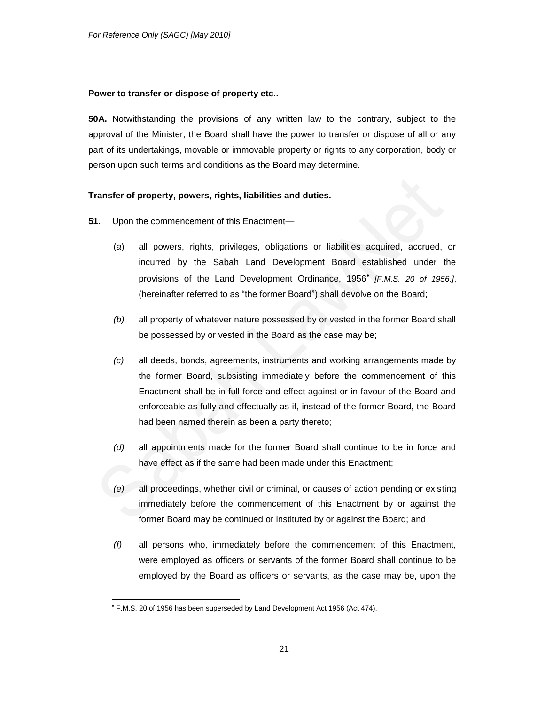### **Power to transfer or dispose of property etc..**

**50A.** Notwithstanding the provisions of any written law to the contrary, subject to the approval of the Minister, the Board shall have the power to transfer or dispose of all or any part of its undertakings, movable or immovable property or rights to any corporation, body or person upon such terms and conditions as the Board may determine.

### **Transfer of property, powers, rights, liabilities and duties.**

- **51.** Upon the commencement of this Enactment—
	- (*a*) all powers, rights, privileges, obligations or liabilities acquired, accrued, or incurred by the Sabah Land Development Board established under the provisions of the Land Development Ordinance, 1956 *[F.M.S. 20 of 1956.]*, (hereinafter referred to as "the former Board") shall devolve on the Board;
	- *(b)* all property of whatever nature possessed by or vested in the former Board shall be possessed by or vested in the Board as the case may be;
	- *(c)* all deeds, bonds, agreements, instruments and working arrangements made by the former Board, subsisting immediately before the commencement of this Enactment shall be in full force and effect against or in favour of the Board and enforceable as fully and effectually as if, instead of the former Board, the Board had been named therein as been a party thereto;
	- *(d)* all appointments made for the former Board shall continue to be in force and have effect as if the same had been made under this Enactment;
	- *(e)* all proceedings, whether civil or criminal, or causes of action pending or existing immediately before the commencement of this Enactment by or against the former Board may be continued or instituted by or against the Board; and
	- *(f)* all persons who, immediately before the commencement of this Enactment, were employed as officers or servants of the former Board shall continue to be employed by the Board as officers or servants, as the case may be, upon the

l

F.M.S. 20 of 1956 has been superseded by Land Development Act 1956 (Act 474).